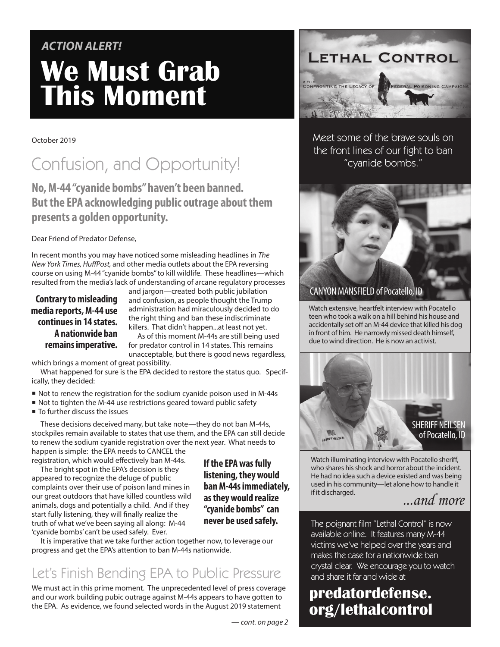# **We Must Grab This Moment** *ACTION ALERT!*

### October 2019

# Confusion, and Opportunity!

## **No, M-44 "cyanide bombs" haven't been banned. But the EPA acknowledging public outrage about them presents a golden opportunity.**

Dear Friend of Predator Defense,

In recent months you may have noticed some misleading headlines in *The New York Times, HuffPost,* and other media outlets about the EPA reversing course on using M-44 "cyanide bombs" to kill wildlife. These headlines—which resulted from the media's lack of understanding of arcane regulatory processes

**Contrary to misleading media reports, M-44 use continues in 14 states. A nationwide ban remains imperative.** 

and jargon—created both public jubilation and confusion, as people thought the Trump administration had miraculously decided to do the right thing and ban these indiscriminate killers. That didn't happen...at least not yet.

As of this moment M-44s are still being used for predator control in 14 states. This remains unacceptable, but there is good news regardless,

which brings a moment of great possibility.

What happened for sure is the EPA decided to restore the status quo. Specifically, they decided:

- Not to renew the registration for the sodium cyanide poison used in M-44s
- Not to tighten the M-44 use restrictions geared toward public safety
- To further discuss the issues

These decisions deceived many, but take note—they do not ban M-44s, stockpiles remain available to states that use them, and the EPA can still decide to renew the sodium cyanide registration over the next year. What needs to happen is simple: the EPA needs to CANCEL the

registration, which would effectively ban M-44s. The bright spot in the EPA's decision is they appeared to recognize the deluge of public complaints over their use of poison land mines in our great outdoors that have killed countless wild animals, dogs and potentially a child. And if they start fully listening, they will finally realize the truth of what we've been saying all along: M-44 'cyanide bombs' can't be used safely. Ever.

**listening, they would ban M-44s immediately, as they would realize "cyanide bombs" can** 

**If the EPA was fully** 

It is imperative that we take further action together now, to leverage our progress and get the EPA's attention to ban M-44s nationwide.

## Let's Finish Bending EPA to Public Pressure

We must act in this prime moment. The unprecedented level of press coverage and our work building pubic outrage against M-44s appears to have gotten to the EPA. As evidence, we found selected words in the August 2019 statement



Meet some of the brave souls on the front lines of our fight to ban "cyanide bombs."



Watch extensive, heartfelt interview with Pocatello teen who took a walk on a hill behind his house and accidentally set off an M-44 device that killed his dog in front of him. He narrowly missed death himself, due to wind direction. He is now an activist.



Watch illuminating interview with Pocatello sheriff, who shares his shock and horror about the incident. He had no idea such a device existed and was being used in his community—let alone how to handle it if it discharged.

*...and more*

**never be used safely.** The poignant film "Lethal Control" is now available online. It features many M-44 victims we've helped over the years and makes the case for a nationwide ban crystal clear. We encourage you to watch and share it far and wide at

## **predatordefense. org/lethalcontrol**